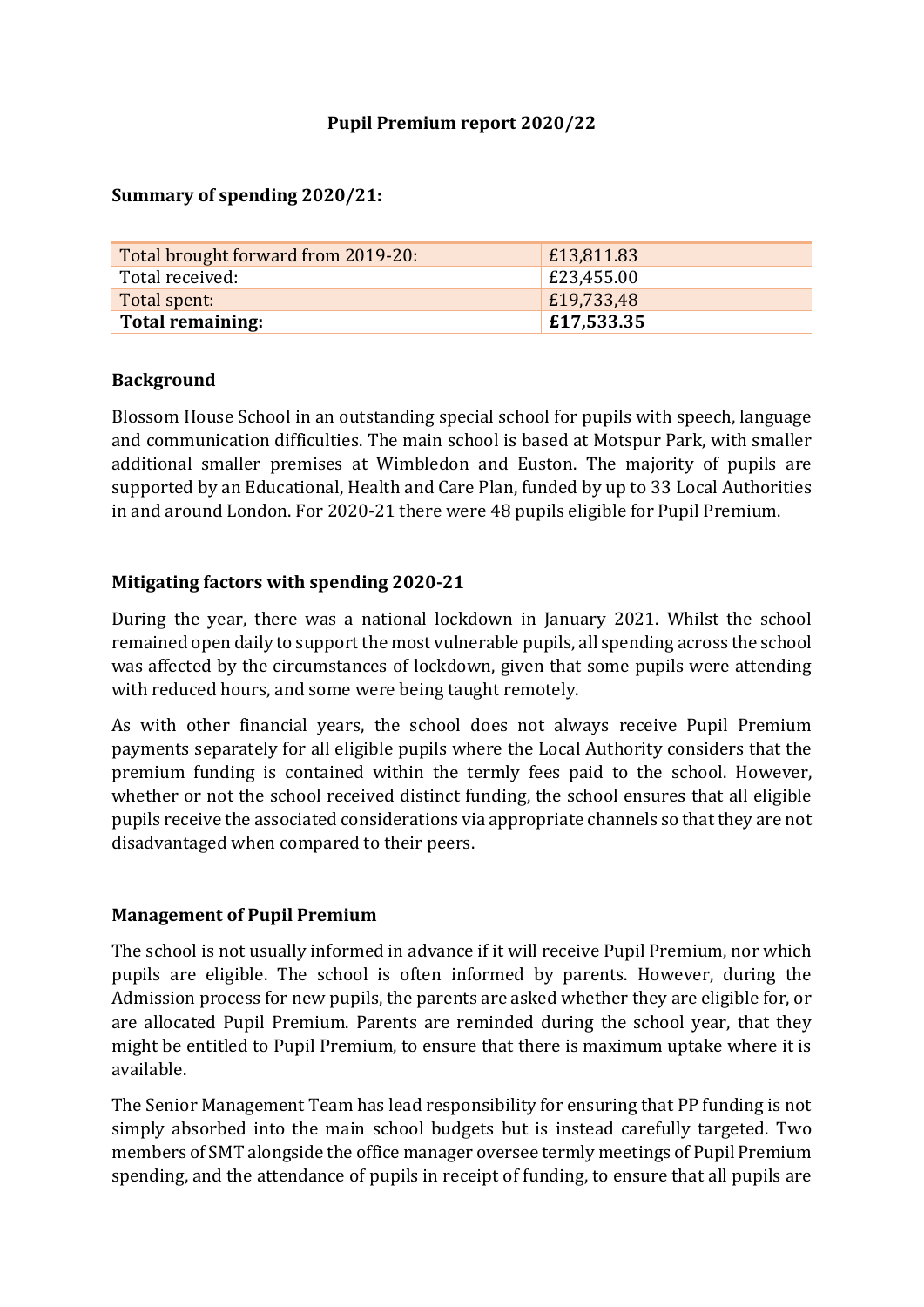#### **Pupil Premium report 2020/22**

#### **Summary of spending 2020/21:**

| Total brought forward from 2019-20: | £13,811.83 |
|-------------------------------------|------------|
| Total received:                     | £23,455.00 |
| Total spent:                        | £19,733,48 |
| <b>Total remaining:</b>             | £17,533.35 |

#### **Background**

Blossom House School in an outstanding special school for pupils with speech, language and communication difficulties. The main school is based at Motspur Park, with smaller additional smaller premises at Wimbledon and Euston. The majority of pupils are supported by an Educational, Health and Care Plan, funded by up to 33 Local Authorities in and around London. For 2020-21 there were 48 pupils eligible for Pupil Premium.

#### **Mitigating factors with spending 2020-21**

During the year, there was a national lockdown in January 2021. Whilst the school remained open daily to support the most vulnerable pupils, all spending across the school was affected by the circumstances of lockdown, given that some pupils were attending with reduced hours, and some were being taught remotely.

As with other financial years, the school does not always receive Pupil Premium payments separately for all eligible pupils where the Local Authority considers that the premium funding is contained within the termly fees paid to the school. However, whether or not the school received distinct funding, the school ensures that all eligible pupils receive the associated considerations via appropriate channels so that they are not disadvantaged when compared to their peers.

#### **Management of Pupil Premium**

The school is not usually informed in advance if it will receive Pupil Premium, nor which pupils are eligible. The school is often informed by parents. However, during the Admission process for new pupils, the parents are asked whether they are eligible for, or are allocated Pupil Premium. Parents are reminded during the school year, that they might be entitled to Pupil Premium, to ensure that there is maximum uptake where it is available.

The Senior Management Team has lead responsibility for ensuring that PP funding is not simply absorbed into the main school budgets but is instead carefully targeted. Two members of SMT alongside the office manager oversee termly meetings of Pupil Premium spending, and the attendance of pupils in receipt of funding, to ensure that all pupils are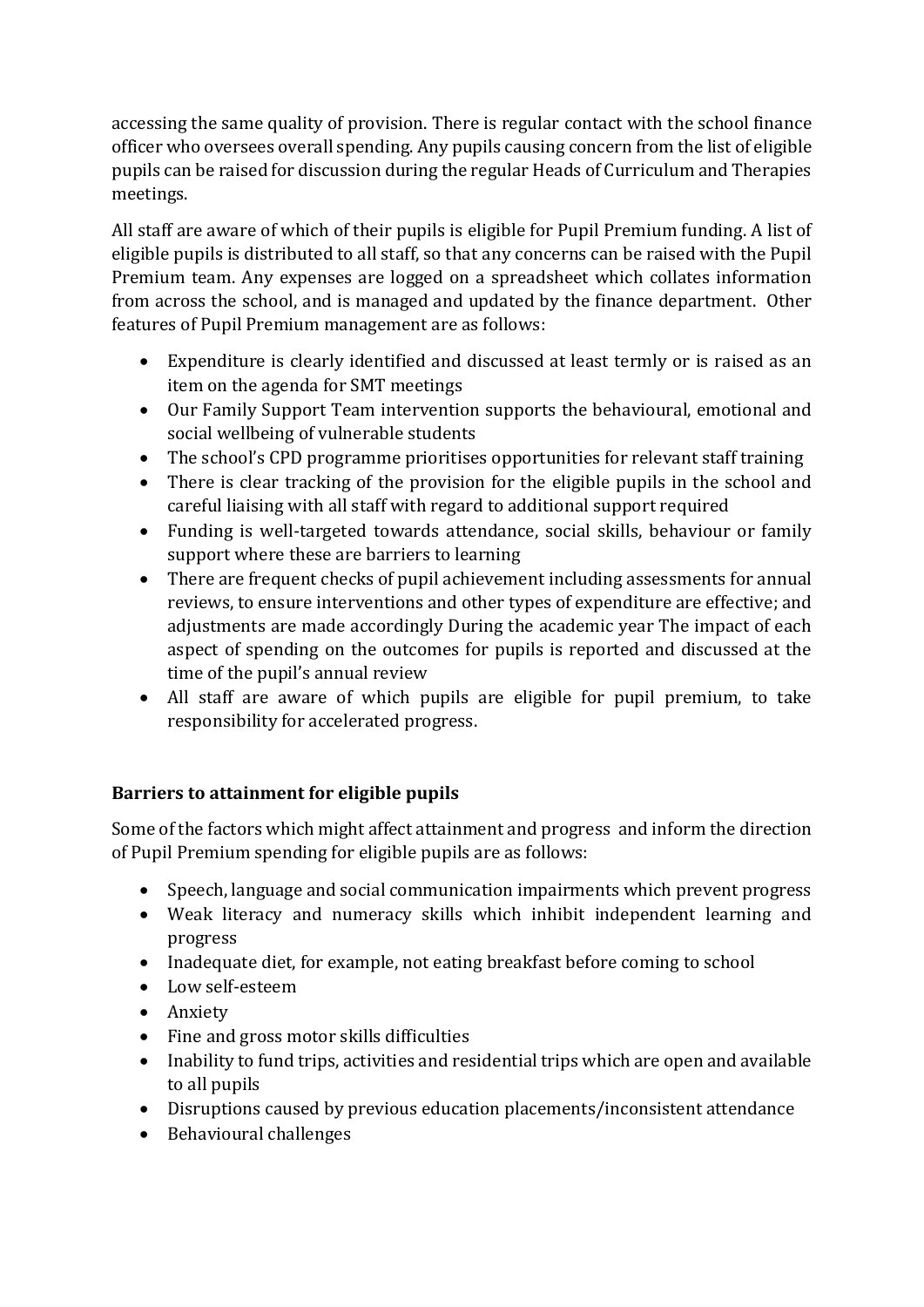accessing the same quality of provision. There is regular contact with the school finance officer who oversees overall spending. Any pupils causing concern from the list of eligible pupils can be raised for discussion during the regular Heads of Curriculum and Therapies meetings.

All staff are aware of which of their pupils is eligible for Pupil Premium funding. A list of eligible pupils is distributed to all staff, so that any concerns can be raised with the Pupil Premium team. Any expenses are logged on a spreadsheet which collates information from across the school, and is managed and updated by the finance department. Other features of Pupil Premium management are as follows:

- Expenditure is clearly identified and discussed at least termly or is raised as an item on the agenda for SMT meetings
- Our Family Support Team intervention supports the behavioural, emotional and social wellbeing of vulnerable students
- The school's CPD programme prioritises opportunities for relevant staff training
- There is clear tracking of the provision for the eligible pupils in the school and careful liaising with all staff with regard to additional support required
- Funding is well-targeted towards attendance, social skills, behaviour or family support where these are barriers to learning
- There are frequent checks of pupil achievement including assessments for annual reviews, to ensure interventions and other types of expenditure are effective; and adjustments are made accordingly During the academic year The impact of each aspect of spending on the outcomes for pupils is reported and discussed at the time of the pupil's annual review
- All staff are aware of which pupils are eligible for pupil premium, to take responsibility for accelerated progress.

# **Barriers to attainment for eligible pupils**

Some of the factors which might affect attainment and progress and inform the direction of Pupil Premium spending for eligible pupils are as follows:

- Speech, language and social communication impairments which prevent progress
- Weak literacy and numeracy skills which inhibit independent learning and progress
- Inadequate diet, for example, not eating breakfast before coming to school
- Low self-esteem
- Anxiety
- Fine and gross motor skills difficulties
- Inability to fund trips, activities and residential trips which are open and available to all pupils
- Disruptions caused by previous education placements/inconsistent attendance
- Behavioural challenges